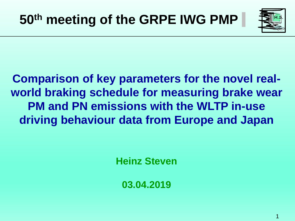

1

**Comparison of key parameters for the novel realworld braking schedule for measuring brake wear PM and PN emissions with the WLTP in-use driving behaviour data from Europe and Japan**

**Heinz Steven**

**03.04.2019**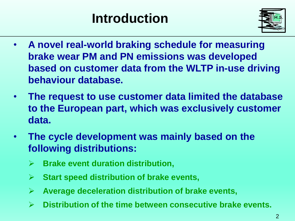# **Introduction**



- **A novel real-world braking schedule for measuring brake wear PM and PN emissions was developed based on customer data from the WLTP in-use driving behaviour database.**
- **The request to use customer data limited the database to the European part, which was exclusively customer data.**
- **The cycle development was mainly based on the following distributions:**
	- **Brake event duration distribution,**
	- **Start speed distribution of brake events,**
	- **Average deceleration distribution of brake events,**
	- **Distribution of the time between consecutive brake events.**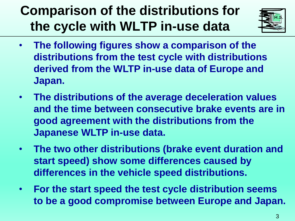## **Comparison of the distributions for the cycle with WLTP in-use data**



- **The following figures show a comparison of the distributions from the test cycle with distributions derived from the WLTP in-use data of Europe and Japan.**
- **The distributions of the average deceleration values and the time between consecutive brake events are in good agreement with the distributions from the Japanese WLTP in-use data.**
- **The two other distributions (brake event duration and start speed) show some differences caused by differences in the vehicle speed distributions.**
- **For the start speed the test cycle distribution seems to be a good compromise between Europe and Japan.**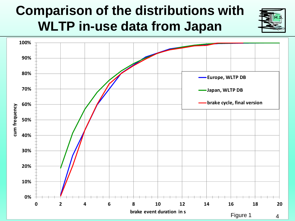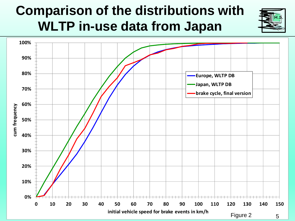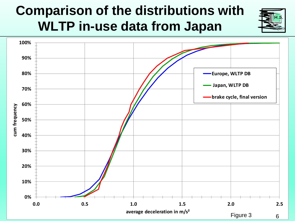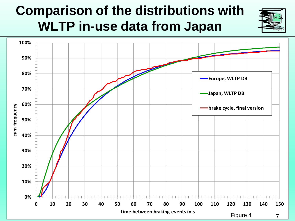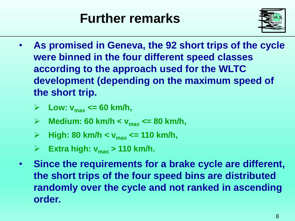## **Further remarks**



- **As promised in Geneva, the 92 short trips of the cycle were binned in the four different speed classes according to the approach used for the WLTC development (depending on the maximum speed of the short trip.**
	- $\triangleright$  Low:  $v_{max}$  <= 60 km/h,
	- **Medium: 60 km/h < vmax <= 80 km/h,**
	- **High: 80 km/h < vmax <= 110 km/h,**
	- **Extra high:**  $v_{max}$  > 110 km/h.
- **Since the requirements for a brake cycle are different, the short trips of the four speed bins are distributed randomly over the cycle and not ranked in ascending order.**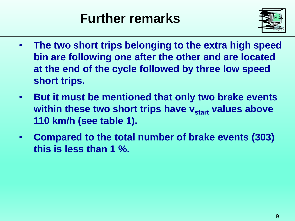## **Further remarks**



- **The two short trips belonging to the extra high speed bin are following one after the other and are located at the end of the cycle followed by three low speed short trips.**
- **But it must be mentioned that only two brake events within these two short trips have**  $v_{start}$  **values above 110 km/h (see table 1).**
- **Compared to the total number of brake events (303) this is less than 1 %.**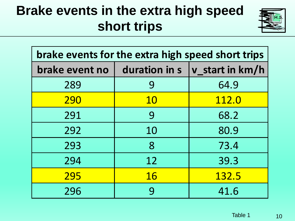## **Brake events in the extra high speed short trips**



| brake events for the extra high speed short trips |           |                                       |
|---------------------------------------------------|-----------|---------------------------------------|
| brake event no                                    |           | duration in $s \mid v$ _start in km/h |
| 289                                               | 9         | 64.9                                  |
| 290                                               | <b>10</b> | 112.0                                 |
| 291                                               | 9         | 68.2                                  |
| 292                                               | 10        | 80.9                                  |
| 293                                               | 8         | 73.4                                  |
| 294                                               | 12        | 39.3                                  |
| 295                                               | <b>16</b> | 132.5                                 |
| 296                                               | 9         | 41.6                                  |